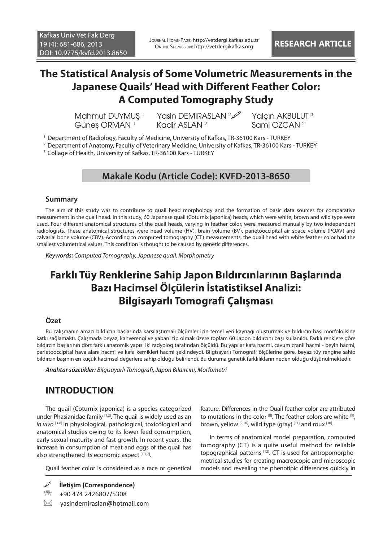Journal Home-Page: http://vetdergi.kafkas.edu.tr Online Submission: http://vetdergikafkas.org **RESEARCH ARTICLE**

# **The Statistical Analysis of Some Volumetric Measurements in the Japanese Quails' Head with Different Feather Color: A Computed Tomography Study**

Mahmut DUYMUS<sup>1</sup> Güneş ORMAN <sup>1</sup>

Yasin DEMIRASLAN 200 Kadir ASLAN <sup>2</sup>

Yalcın AKBULUT<sup>3</sup> Sami OZCAN <sup>2</sup>

1 Department of Radiology, Faculty of Medicine, University of Kafkas, TR-36100 Kars - TURKEY

2 Department of Anatomy, Faculty of Veterinary Medicine, University of Kafkas, TR-36100 Kars - TURKEY

3 Collage of Health, University of Kafkas, TR-36100 Kars - TURKEY

## **Makale Kodu (Article Code): KVFD-2013-8650**

#### **Summary**

The aim of this study was to contribute to quail head morphology and the formation of basic data sources for comparative measurement in the quail head. In this study, 60 Japanese quail (Coturnix japonica) heads, which were white, brown and wild type were used. Four different anatomical structures of the quail heads, varying in feather color, were measured manually by two independent radiologists. These anatomical structures were head volume (HV), brain volume (BV), parietooccipital air space volume (POAV) and calvarial bone volume (CBV). According to computed tomography (CT) measurements, the quail head with white feather color had the smallest volumetrical values. This condition is thought to be caused by genetic differences.

*Keywords: Computed Tomography, Japanese quail, Morphometry*

# **Farklı Tüy Renklerine Sahip Japon Bıldırcınlarının Başlarında Bazı Hacimsel Ölçülerin İstatistiksel Analizi: Bilgisayarlı Tomografi Çalışması**

### **Özet**

Bu çalışmanın amacı bıldırcın başlarında karşılaştırmalı ölçümler için temel veri kaynağı oluşturmak ve bıldırcın başı morfolojisine katkı sağlamaktı. Çalışmada beyaz, kahverengi ve yabani tip olmak üzere toplam 60 Japon bıldırcını başı kullanıldı. Farklı renklere göre bıldırcın başlarının dört farklı anatomik yapısı iki radyolog tarafından ölçüldü. Bu yapılar kafa hacmi, cavum cranii hacmi - beyin hacmi, parietooccipital hava alanı hacmi ve kafa kemikleri hacmi şeklindeydi. Bilgisayarlı Tomografi ölçülerine göre, beyaz tüy rengine sahip bıldırcın başının en küçük hacimsel değerlere sahip olduğu belirlendi. Bu duruma genetik farklılıkların neden olduğu düşünülmektedir.

*Anahtar sözcükler: Bilgisayarlı Tomografi, Japon Bıldırcını, Morfometri*

## **INTRODUCTION**

The quail (Coturnix japonica) is a species categorized under Phasianidae family [1,2]. The quail is widely used as an *in vivo* [3-6] in physiological, pathological, toxicological and anatomical studies owing to its lower feed consumption, early sexual maturity and fast growth. In recent years, the increase in consumption of meat and eggs of the quail has also strengthened its economic aspect [1,2,7].

Quail feather color is considered as a race or genetical

**İletişim (Correspondence)**

- <sup>2</sup> +90 474 2426807/5308
- $\boxtimes$  vasindemiraslan@hotmail.com

feature. Differences in the Quail feather color are attributed to mutations in the color  $^{[8]}$ . The feather colors are white  $^{[9]}$ , brown, yellow  $[9,10]$ , wild type (gray)  $[11]$  and roux  $[10]$ .

In terms of anatomical model preparation, computed tomography (CT) is a quite useful method for reliable topographical patterns [12]. CT is used for antropomorphometrical studies for creating macroscopic and microscopic models and revealing the phenotipic differences quickly in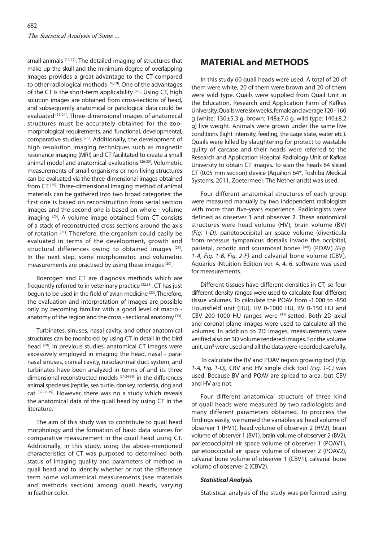small animals [13-17]. The detailed imaging of structures that make up the skull and the minimum degree of overlapping images provides a great advantage to the CT compared to other radiological methods [18,19]. One of the advantages of the CT is the short-term applicability [20]. Using CT, high solution images are obtained from cross-sections of head, and subsequently anatomical or patological data could be evaluated <a>[21-24]</a>. Three-dimensional images of anatomical structures must be accurately obtained for the zoomorphological requirements, and functional, developmental, comparative studies [25]. Additionally, the development of high resolution imaging techniques such as magnetic resonance imaging (MRI) and CT facilitated to create a small animal model and anatomical evaluations<sup>[26-30]</sup>. Volumetric measurements of small organisms or non-living structures can be evaluated via the three-dimensional images obtained from CT [25]. Three-dimensional imaging method of animal materials can be gathered into two broad categories: the first one is based on reconstruction from serial section images and the second one is based on whole - volume imaging <sup>[25]</sup>. A volume image obtained from CT consists of a stack of reconstructed cross sections around the axis of rotation [31]. Therefore, the organism could easily be evaluated in terms of the development, growth and structural differences owing to obtained images [25]. In the next step, some morphometric and volumetric measurements are practised by using these images [20].

Roentgen and CT are diagnosis methods which are frequently referred to in veterinary practice [32,33]. CT has just begun to be used in the field of avian medicine [20]. Therefore, the evaluation and interpretation of images are possible only by becoming familiar with a good level of macro anatomy of the region and the cross - sectional anatomy [33].

Turbinates, sinuses, nasal cavity, and other anatomical structures can be monitored by using CT in detail in the bird head [20]. In previous studies, anatomical CT images were excessively employed in imaging the head, nasal - paranasal sinuses, cranial cavity, nasolacrimal duct system, and turbinates have been analyzed in terms of and its three dimensional reconstructed models  $[24,34-39]$  in the differences animal specieses (reptile, sea turtle, donkey, rodentia, dog and cat [32-36,39]. However, there was no a study which reveals the anatomical data of the quail head by using CT in the literature.

The aim of this study was to contribute to quail head morphology and the formation of basic data sources for comparative measurement in the quail head using CT. Additionally, in this study, using the above-mentioned characteristics of CT was purposed to determined both status of imaging quality and parameters of method in quail head and to identify whether or not the difference term some volumetrical measurements (see materials and methods section) among quail heads, varying in feather color.

## **MATERIAL and METHODS**

In this study 60 quail heads were used. A total of 20 of them were white, 20 of them were brown and 20 of them were wild type. Quails were supplied from Quail Unit in the Education, Research and Application Farm of Kafkas University. Quails were six weeks, female and average 120 - 160 g (white: 130±5.3 g, brown: 148±7.6 g, wild type: 140±8.2 g) live weight. Animals were grown under the same live conditions (light intensity, feeding, the cage state, water etc.). Quails were killed by slaughtering for protect to wastable quilty of carcase and their heads were referred to the Research and Application Hospital Radiology Unit of Kafkas University to obtain CT images. To scan the heads 64 sliced CT (0.05 mm section) device (Aquilion 64®, Toshiba Medical Systems, 2011, Zoetermeer. The Netherlands) was used.

Four different anatomical structures of each group were measured manually by two independent radiologists with more than five-years experience. Radiologists were defined as observer 1 and observer 2. These anatomical structures were head volume (HV)*,* brain volume (BV) *(Fig. 1-D),* parietooccipital air space volume (diverticula from recessus tympanicus dorsalis invade the occipital, parietal, prootic and squamosal bones [40]) (POAV) *(Fig. 1-A, Fig. 1-B, Fig. 2-F)* and calvarial bone volume (CBV). Aquarius iNtuition Edition ver. 4. 4. 6. software was used for measurements.

Different tissues have different densities in CT, so four different density ranges were used to calculate four different tissue volumes. To calculate the POAV from -1.000 to -850 Hounsfield unit (HU), HV 0-1000 HU, BV 0-150 HU and CBV 200-1000 HU ranges were [41] setted. Both 2D axial and coronal plane images were used to calculate all the volumes. In addition to 2D images, measurements were verified also on 3D volume rendered images. For the volume unit, cm<sup>3</sup> were used and all the data were recorded carefully.

To calculate the BV and POAV region growing tool *(Fig. 1-A, Fig. 1-D),* CBV and HV single click tool *(Fig. 1-C)* was used. Because BV and POAV are spread to area, but CBV and HV are not.

Four different anatomical structure of three kind of quail heads were measured by two radiologists and many different parameters obtained. To proccess the findings easily, we named the variables as: head volume of observer 1 (HV1), head volume of observer 2 (HV2), brain volume of observer 1 (BV1), brain volume of observer 2 (BV2), parietooccipital air space volume of observer 1 (POAV1), parietooccipital air space volume of observer 2 (POAV2), calvarial bone volume of observer 1 (CBV1), calvarial bone volume of observer 2 (CBV2).

#### *Statistical Analysis*

Statistical analysis of the study was performed using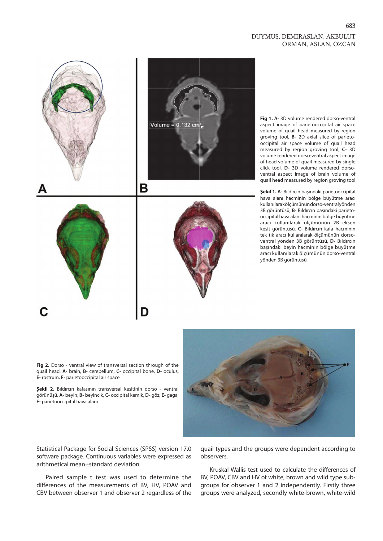### DUYMUŞ, DEMIRASLAN, AKBULUT ORMAN, ASLAN, OZCAN



**Fig 2.** Dorso - ventral view of transversal section through of the quail head. **A-** brain, **B-** cerebellum, **C-** occipital bone, **D-** oculus, **E-** rostrum, **F-** parietooccipital air space

**Şekil 2.** Bıldırcın kafasının transversal kesitinin dorso - ventral görünüşü. **A-** beyin, **B-** beyincik, **C-** occipital kemik, **D-** göz, **E-** gaga, **F-** parietooccipital hava alanı



Statistical Package for Social Sciences (SPSS) version 17.0 software package. Continuous variables were expressed as arithmetical mean±standard deviation.

Paired sample t test was used to determine the differences of the measurements of BV, HV, POAV and CBV between observer 1 and observer 2 regardless of the quail types and the groups were dependent according to observers.

Kruskal Wallis test used to calculate the differences of BV, POAV, CBV and HV of white, brown and wild type subgroups for observer 1 and 2 independently. Firstly three groups were analyzed, secondly white-brown, white-wild

683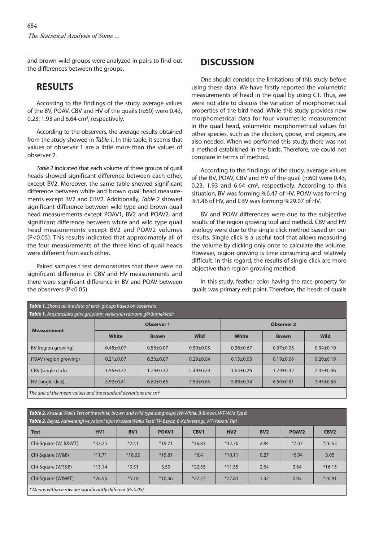and brown-wild groups were analyzed in pairs to find out the differences between the groups.

## **RESULTS**

According to the findings of the study, average values of the BV, POAV, CBV and HV of the quails (n:60) were 0.43, 0.23, 1.93 and 6.64 cm<sup>3</sup>, respectively.

According to the observers, the average results obtained from the study showed in *Table 1.* In this table, it seems that values of observer 1 are a little more than the values of observer 2.

*Table 2* indicated that each volume of three groups of quail heads showed significant difference between each other, except BV2. Moreover, the same table showed significant difference between white and brown quail head measurements except BV2 and CBV2. Additionally, *Table 2* showed significant difference between wild type and brown quail head measurements except POAV1, BV2 and POAV2, and significant difference between white and wild type quail head measurements except BV2 and POAV2 volumes (P<0.05). This results indicated that approximately all of the four measurements of the three kind of quail heads were different from each other.

Paired samples t test demonstrates that there were no significant difference in CBV and HV measurements and there were significant difference in BV and POAV between the observers (P<0.05).

## **DISCUSSION**

One should consider the limitations of this study before using these data. We have firstly reported the volumetric measurements of head in the quail by using CT. Thus, we were not able to discuss the variation of morphometrical properties of the bird head. While this study provides new morphometrical data for four volumetric measurement in the quail head, volumetric morphometrical values for other species, such as the chicken, goose, and pigeon, are also needed. When we perfomed this study, there was not a method established in the birds. Therefore, we could not compare in terms of method.

According to the findings of the study, average values of the BV, POAV, CBV and HV of the quail (n:60) were 0.43, 0.23, 1.93 and  $6.64 \text{ cm}^3$ , respectively. According to this situation, BV was forming %6.47 of HV, POAV was forming %3.46 of HV, and CBV was forming %29.07 of HV.

BV and POAV differences were due to the subjective results of the region growing tool and method. CBV and HV anology were due to the single click method based on our results. Single click is a useful tool that allows measuring the volume by clicking only once to calculate the volume. However, region growing is time consuming and relatively difficult. In this regard, the results of single click are more objective than region growing method.

In this study, feather color having the race property for quails was primary exit point. Therefore, the heads of quails

| Table 1. Shows all the data of each groups based on observers           |                 |                   |               |                   |                 |                 |  |  |  |  |  |
|-------------------------------------------------------------------------|-----------------|-------------------|---------------|-------------------|-----------------|-----------------|--|--|--|--|--|
| Table 1. Arastırıcılara göre grupların verilerinin tamamı görünmektedir |                 |                   |               |                   |                 |                 |  |  |  |  |  |
| <b>Measurement</b>                                                      |                 | <b>Observer 1</b> |               | <b>Observer 2</b> |                 |                 |  |  |  |  |  |
|                                                                         | <b>White</b>    | <b>Brown</b>      | <b>Wild</b>   | <b>White</b>      | <b>Brown</b>    | <b>Wild</b>     |  |  |  |  |  |
| BV (region growing)                                                     | $0.45 \pm 0.07$ | $0.56 + 0.07$     | $0.50 + 0.05$ | $0.36 + 0.67$     | $0.37 + 0.05$   | $0.34 \pm 0.10$ |  |  |  |  |  |
| POAV (region growing)                                                   | $0.21 \pm 0.07$ | $0.33 + 0.07$     | $0.29 + 0.04$ | $0.15 \pm 0.05$   | $0.19 \pm 0.06$ | $0.20 \pm 0.19$ |  |  |  |  |  |
| CBV (single click)                                                      | $1.56 + 0.27$   | $1.79 + 0.32$     | $2.49 + 0.29$ | $1.63 \pm 0.26$   | $1.79 + 0.32$   | $2.35 \pm 0.36$ |  |  |  |  |  |
| HV (single click)                                                       | $5.92 \pm 0.41$ | $6.60 + 0.65$     | $7.50 + 0.65$ | $5.88 \pm 0.34$   | $6.50 \pm 0.81$ | $7.45 \pm 0.68$ |  |  |  |  |  |
| The unit of the mean values and the standard deviations are $cm3$       |                 |                   |               |                   |                 |                 |  |  |  |  |  |

| <b>Table 2.</b> Kruskal Wallis Test of the white, brown and wild type subgroups (W-White, B-Brown, WT-Wild Type)<br>Table 2. Beyaz, kahverengi ve yabani tipin Kruskal Wallis Testi (W-Beyaz, B-Kahverengi, WT-Yabani Tip) |                 |                 |                   |                  |                  |      |                   |                  |  |  |  |
|----------------------------------------------------------------------------------------------------------------------------------------------------------------------------------------------------------------------------|-----------------|-----------------|-------------------|------------------|------------------|------|-------------------|------------------|--|--|--|
| <b>Test</b>                                                                                                                                                                                                                | HV <sub>1</sub> | BV <sub>1</sub> | POAV <sub>1</sub> | CBV <sub>1</sub> | H <sub>V</sub> 2 | BV2  | POAV <sub>2</sub> | CBV <sub>2</sub> |  |  |  |
| Chi-Square (W, B&WT)                                                                                                                                                                                                       | $*33.75$        | $*22.1$         | $*19.71$          | $*36.83$         | $*32.76$         | 2.84 | $*7.07$           | $*26.63$         |  |  |  |
| Chi-Square (W&B)                                                                                                                                                                                                           | $*11.71$        | $*18.62$        | $*15.81$          | $*6.4$           | $*10.11$         | 0.27 | $*6.94$           | 3.05             |  |  |  |
| Chi-Square (WT&B)                                                                                                                                                                                                          | $*13.14$        | $*9.51$         | 3.59              | $*22.55$         | $*11.35$         | 2.64 | 3.64              | $*16.15$         |  |  |  |
| Chi-Square (W&WT)                                                                                                                                                                                                          | $*26.56$        | $*5.10$         | $*10.36$          | $*27.27$         | $*27.83$         | 1.32 | 0.05              | $*20.91$         |  |  |  |
| * Means within a row are significantly different (P<0.05)                                                                                                                                                                  |                 |                 |                   |                  |                  |      |                   |                  |  |  |  |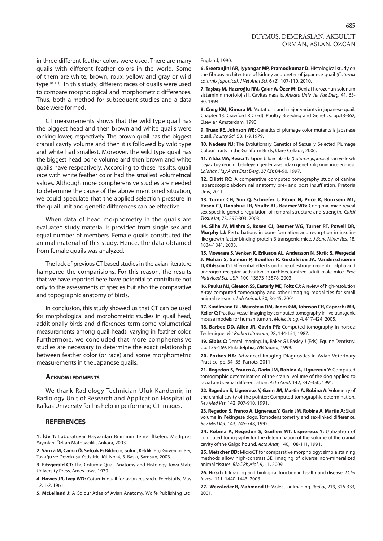685

in three different feather colors were used. There are many quails with different feather colors in the world. Some of them are white, brown, roux, yellow and gray or wild type [8-11]. In this study, different races of quails were used to compare morphological and morphometric differences. Thus, both a method for subsequent studies and a data base were formed.

CT measurements shows that the wild type quail has the biggest head and then brown and white quails were ranking lower, respectively. The brown quail has the biggest cranial cavity volume and then it is followed by wild type and white had smallest. Moreover, the wild type quail has the biggest head bone volume and then brown and white quails have respectively. According to these results, quail race with white feather color had the smallest volumetrical values. Although more compherensive studies are needed to determine the cause of the above mentioned situation, we could speculate that the applied selection pressure in the quail unit and genetic differences can be effective.

When data of head morphometry in the quails are evaluated study material is provided from single sex and equal number of members. Female quails constituted the animal material of this study. Hence, the data obtained from female quails was analyzed.

The lack of previous CT based studies in the avian literature hampered the comparisions. For this reason, the results that we have reported here have potential to contribute not only to the assessments of species but also the comparative and topographic anatomy of birds.

In conclusion, this study showed us that CT can be used for morphological and morphometric studies in quail head, additionally birds and differences term some volumetrical measurements among quail heads, varying in feather color. Furthermore, we concluded that more compherensive studies are necessary to determine the exact relationship between feather color (or race) and some morphometric measurements in the Japanese quails.

#### **Acknowledgments**

We thank Radiology Technician Ufuk Kandemir, in Radiology Unit of Research and Application Hospital of Kafkas University for his help in performing CT images.

#### **REFERENCES**

**1. İde T:** Laboratuvar Hayvanları Biliminin Temel İlkeleri. Medipres Yayınları, Özkan Matbaacılık, Ankara, 2003.

**2. Sarıca M, Camcı Ö, Selçuk E:** Bıldırcın, Sülün, Keklik, Etçi Güvercin, Beç Tavuğu ve Devekuşu Yetiştiriciliği. No: 4, 3. Baskı, Samsun, 2003.

**3. Fitzgerald CT:** The Coturnix Quail Anatomy and Histology. Iowa State University Press, Ames Iowa, 1970.

**4. Howes JR, Ivey WD:** Coturnix quail for avian research. Feedstuffs, May 12, 1-2, 1961.

**5. McLelland J:** A Colour Atlas of Avian Anatomy. Wolfe Publishing Ltd.

#### England, 1990.

**6. Sreeranjini AR, Iyyangar MP, Pramodkumar D:** Histological study on the fibrous architecture of kidney and ureter of japanese quail *(Coturnix coturnix japonica). J Vet Anat Sci,* 6 (2): 107-110, 2010.

**7. Taşbaş M, Hazıroğlu RM, Çakır A, Özer M:** Denizli horozunun solunum sisteminin morfolojisi I. Cavitas nasalis. *Ankara Univ Vet Fak Derg,* 41, 63- 80, 1994.

**8. Cneg KM, Kimura M:** Mutations and major variants in japanese quail. Chapter 13. Crawford RD (Ed): Poultry Breeding and Genetics. pp.33-362, Elsevier, Amsterdam, 1990.

**9. Truax RE, Johnson WE:** Genetics of plumage color mutants is japanese quail. *Poultry Sci*, 58, 1-9,1979.

**10. Nadeau NJ:** The Evolutionary Genetics of Sexually Selected Plumage Colour Traits in the Galliform Birds, Clare Collage, 2006.

**11. Yıldız MA, Kesici T:** Japon bıldırcınlarda *(Coturnix japonica)* sarı ve lekeli beyaz tüy rengini belirleyen genler arasındaki genetik ilişkinin incelenmesi. *Lalahan Hay Arast Enst Derg,* 37 (2): 84-90, 1997.

**12. Elliott RC:** A comparative computed tomography study of canine laparoscopic abdominal anatomy pre- and post insufflation. Pretoria Univ, 2011.

**13. Turner CH, Sun Q, Schriefer J, Pitner N, Price R, Bouxsein ML, Rosen CJ, Donahue LR, Shultz KL, Beamer WG:** Congenic mice reveal sex-specific genetic regulation of femoral structure and strength. *Calcif Tissue Int,* 73, 297-303, 2003.

**14. Silha JV, Mishra S, Rosen CJ, Beamer WG, Turner RT, Powell DR, Murphy LJ:** Perturbations in bone formation and resorption in insulinlike growth factor binding protein-3 transgenic mice. *J Bone Miner Res,* 18, 1834-1841, 2003.

**15. Moverare S, Venken K, Eriksson AL, Andersson N, Skrtic S, Wergedal J, Mohan S, Salmon P, Bouillon R, Gustafsson JA, Vanderschueren D. Ohlsson C:** Differential effects on bone of estrogen receptor alpha and androgen receptor activation in orchidectomized adult male mice. *Proc Natl Acad Sci,* USA, 100, 13573-13578, 2003.

**16. Paulus MJ, Gleason SS, Easterly ME, Foltz CJ:** A review of high-resolution X-ray computed tomography and other imaging modalities for small animal research. *Lab Animal*, 30, 36-45, 2001.

**17. Kindlmann GL, Weinstein DM, Jones GM, Johnson CR, Capecchi MR, Keller C:** Practical vessel imaging by computed tomography in live transgenic mouse models for human tumors. *Molec Imag*, 4, 417-424, 2005.

**18. Barbee DD, Allen JR, Gavin PR:** Computed tomography in horses: Tech-nique. *Vet Radiol Ultrasoun*, 28, 144-151, 1987.

**19. Gibbs C:** Dental imaging. **In,** Baker GJ, Easley J (Eds): Equine Dentistry. pp. 139-169, Philadelphia, WB Saund, 1999.

**20. Forbes NA:** Advanced Imaging Diagnostics in Avian Veterinary Practice. pp. 34 -35, Parrots, 2011.

**21. Regedon S, Franco A, Garin JM, Robina A, Lignereux Y:** Computed tomographic determination of the cranial volume of the dog applied to racial and sexual differentiation. *Acta Anat,* 142, 347-350, 1991.

**22. Regedon S, Lignereux Y, Garin JM, Martin A, Robina A:** Volumetry of the cranial cavity of the pointer: Computed tomographic determination. *Rev Med Vet*, 142, 907-910, 1991.

**23. Regedon S, Franco A, Lignereux Y, Garin JM, Robina A, Martin A:** Skull volume in Pekingese dogs. Tomodensitometry and sex-linked difference. *Rev Med Vet*, 143, 745-748, 1992.

24. Robina A, Regedon S, Guillen MT, Lignereux Y: Utilization of computed tomography for the determination of the volume of the cranial cavity of the Galgo hound. *Acta Anat*, 140, 108-111, 1991.

**25. Metscher BD:** MicroCT for comparative morphology: simple staining methods allow high-contrast 3D imaging of diverse non-mineralized animal tissues. *BMC Physiol*, 9, 11, 2009.

**26. Hirsch J:** Imaging and biological function in health and disease. *J Clin Invest*, 111, 1440-1443, 2003.

**27. Weissleder R, Mahmood U:** Molecular Imaging. *Radiol*, 219, 316-333, 2001.